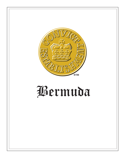

## Bermuda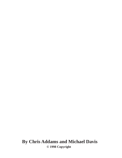**By Chris Addams and Michael Davis © 1998 Copyright**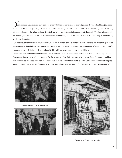asmania and Devils Island have come to grips with their horror stories of convict prisons (Devils Island being the basis of the book and film "Papillion"). In Bermuda, one of the mass grave sites of the convicts, is now unwittingly a trash burning site and the bones of the felons and convicts stick out of the sparse top soil, in unconsecrated ground. This is reminiscent of the unique graveyard of the black slaves found in lower Manhattan, N.Y. or the convicts held at Wallabout Bay (Brooklyn Navy Yard) New York City.

 On these havens of incredible inhumanity at Wallabout Bay, more patriots died than they did fighting the British in open battle. Prisoners upon these hulks were expendable. Convicts were to be used as a resource to strengthen defences and aid powerful countries to grow. Britain and Bermuda benefited by utilizing slave labor both white and black.

 These prisoners included not only convicts, but reformists, unionists and general insurrectionists who were fed up with the Status Quo. In essence, a solid background for the people who had their own way of seeing and doing things (very stubborn, very opinionated and ready for a fight at any time, just to name a few of their qualities.) The Confederate Southern States people loosely termed "red-necks" are from this base, very little other than their accents divides them from basic Australian stock.



*For some torture was commonplace*





*Engraving of life on a convict hulk*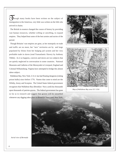hough many books have been written on the subject of immigration to the Americas, very little was written on the folk who arrived in chains.

 The British in essence changed the course of history by providing vast human resources, whether willing or unwilling, to expand empires. They helped beat some of the best armies and navies of the period.

 Though Britains' vast empires are gone, as her monopoly on trade and traffic are no more, her "new" territories are by and large populated by felons from her bulging jail system and her very profitable trade in slaves (read Transatlantic Slavery by Anthony Tibble). As it so happens, convicts and slaves are two subjects that are quietly neglected in conversation in some countries. National Museums and Galleries of the Merseyside in Liverpool, England and Colonial Williamsburg, Virginia have attempted to bridge this almost taboo subject.

 Wallabout Bay, New York, U.S.A. has had floating dungeons (rotting prison hulks) since before 1776. Names that come to mind are the Whitby, Jersey and Scorpion. The United States federal government recognizes that Wallabout Bay (Brooklyn Navy yard) has thousands upon thousands of patriots graves. The federal government has gone so far as to research and suggest that graves will be unearthed whenever any digging takes place in Brooklyn Navy yard, New York.



*Map of Wallabout Bay area N.Y. USA*



*Aerial view of Bermuda*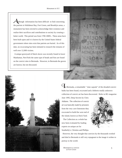Although information has been difficult to find concerning the patriots in Wallabout Bay, Fort Green, and Brooklyn areas, a monument has been erected to acknowledge their existence and realize their sacrifices and contributions to society by creating a better world. This period was from 1700-1800's. These areas have been built upon and it is known by the United States federal government where sites exist that patriots are buried. As of this date, no excavating has been initiated to research the remains of well over 12,000 victims.

 A unique graveyard of black slaves was recently found in lower Manhattan, NewYork the same type of beads and fists are found on the convict sites in Bermuda. However, in Bermuda the graves are known, but not discussed.





In Bermuda, a remarkable " time capsule" of the dreaded convict hulks has been found, excavated and a hitherto totally unknown collection of convict art has been discovered. Refer to RG magazine

June 1995, Deep Secrets by Chris Addams. The collection of convict art was basically made by prisoners from the very cave limestone they excavated to build the west end of the island, known as Dock Yard.

 The Collection as a whole has now been evaluated by leading experts on unique art for Southerby's, Christies and Phillips.



 However, the very thought that convicts by the thousands worked and died in Bermuda is still very repugnant to the image it wishes to portray to the world.

*Monument to convicts at Fort Green*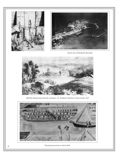



*Aerial view of Dockyard, Bermuda*



*Melville Island prison from the northeast. J.E. Woolford, Sketches in Nova Scotia, 1817*



*Drawing of scene by a convict hulk*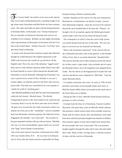$\bigcap$  he "Convict Hulk" site (which can be seen on the internet http://www.inad.com/bermuda) gives a stunning insight to an age where many Australians and Red-Necks are from common stock. The video and Audio are done with the kind permission of Brendan Hollis of Bermudas' own "Trinton Enterprises". His two episodes on Dockyard, Bermuda and convicts are available on two cassettes. Brendan can also supply fascinating video representation of Bermudas' involvement with the Civil War in the United States. Artifacts from the "Civil War" have also been found in Bermuda.

 A certain well educated Irish reformist named John Mitchell thought he would denounce the English oppression in the 1840's and everyone else would rise up and throw off the English yoke! Not to be, one of the infamous "rigged courts" threw him in Corks Harbors notorious Spike Island. Soon after he found himself as convict #2014 aboard the dreaded hulk *Dromedary* in lovely Bermuda. Although the *Dromedary* was once a proud service vessel of New Zealand, it was now a vermin ridden, rat infested, packed to the brim with convicts, prison hulk. This hulk was controlled by the worst guards in a dimly lit world of "anything goes".

 John Mitchell published a book after his return from deportation called the Jail Journal. Mitchell states, "The British Transportation service is the worst scheme to be contrived and I seriously think it was by the Devil and some of his friends." He goes on to recount how the clank of prisoners chains was seldom out of his ears as the " moonblind " convicts stumbled back from Bermudas' notorious quarries, this followed vicious flogging by the dreaded " cat-o-nine tails". The screams of the poor manacled wretches will stay with me forever. Mitchells cell was a six foot claustrophobic square which was covered with "huge" brown beetles (cockroaches).

 One of the more famous Governors of Bermuda from 1846- 1852 was Charles Elliot, R.N. . He was later to be Britains man in Texas after the Alamo and also responsible for Hong

Kong becoming a British commonwealth.

 Another champion of the convict era who was sentenced to Bermuda for a misdemeanor was Baxter Grundy, a lawyer from Manchester England. Upon the survival of his sentence aboard the most dreaded hulk of all times the "Thames", he brought a list of accusations against the British government system under Lord Grey (of tea fame) all based on truth.

 The consequence of which is that the convict hulk system was totally banned from the face of the earth. The very last place it survived was not Australia but Bermuda.

 What is the Australian connection? If the convicts did not die in Bermuda from their work in the quarries, or the dreaded Yellow Fever, then it was death aboard the "dreaded hulks". The convicts that did survive their sentences on the isle known for its blue waters, virgin sands, citrus orchards and of course the Bermuda Onion ( not to be forgotten) were shipped Down Under. The fair shores of old England had it's hands full with convicts and did not want a shipload of " Bill Sikes " from the sunny Bermuda shores.

 A Canadian connection also exists. As early as 1780, French prisoners were house on Kavanaugh Island, later know as Melville Island (1804) which was located on the south side of the North West arm in Halifax.

 During the War of 1812, Melville Island housed American prisoners as well as French.

 Excerpts from the diary of a Frenchman, Francois Lambert Bourneuf, who spent three years on Melville Island, indicate that prisoners crafted various items from available resources. Name seals for letters, knives, dice and dominoes were made from bone which the prisoners bought from butchers in Halifax. War prisoners appear to have been treated more lenient than the local people who were incarcerated. The war prisoners bought supplies through the jailer and in turn sold and traded their crafts. Many of their carvings show a common resource of ideas with the convicts of Bermuda.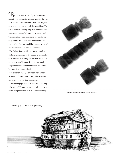ermuda is an island of great beauty and serenity, but underwater artifacts from the days of the convicts have been found. These were the years of hard labor and atrocious living conditions. The prisoners were working long days and when time was theirs, they crafted carvings to keep or sell. The natural raw materials found and used were only limited by a creators resourcefulness and imagination. Carvings could be crude or works of art, depending on the individuals talents.

 The Yellow Fever epidemic caused countless deaths and many feared the unknown cause. The dead individuals worldly possessions were burnt on the beaches. This practice held true for all people who died of Yellow Fever on the beautiful but sometimes trying island.

 The prisoners living in cramped areas under adverse conditions, were susceptible to disease and injury, both physical and mental.

 Their belongings are the artifacts of today, they tell a story of life long ago on a much less forgiving island. People worked hard to survive each day.



*Examples of clenched fist convict carvings*

*Engraving of a "Convict Hulk" prison ship*

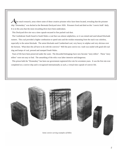After much research, areas where some of these creative prisoner relics have been located, revealing that the prisoner ship "Dromedary" was docked at the Bermuda Dockyard since 1826. Prisoners lived and died on this "convict hulk" daily. It is in this area that the most rewarding dives have been undertaken.

This Dockyard dive site was a time capsule encased in fine packed coal dust.

 The Confederate South found in South Wales a coal that was almost sulpherless, so it was mined and used aboard blockade runners. This coal provided a higher combustion to speed ratio and the residue emanating from the stack was colorless, especially to the union blockade. The union blockade used Cumberland coal, very heavy in sulphur and very obvious over the horizon. What does this all have to do with the convicts? Well the post convict era trash was sealed with good old coal slag and lumps of coal, pressed and stamped South Wales.

 Years of life have been preserved under the water. The discarded belongings have now become "story tellers". These "story tellers" were not easy to find. The unearthing of the relics was labor intensive and dangerous.

 This prison hulk the "Dromedary" has been our government registered dive site for seventeen years. It was the first site ever completed on a convict ship and is recognized internationally as such, a virtual time capsule of convict life.



*Some convict carving examples of bibles*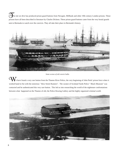he site we dive has produced prison guard buttons from Newgate, Millbank and other 19th century London prisons. These prisons have all been described in literature by Charles Dickens. These prison guard buttons came from the very brutal guards sent to Bermuda to watch over the convicts. They all take their place in Bermuda's history.



*Some scenes of old convict hulks*

We have found a very rare button from the Thames River Police, the very beginning of John Peels' prison force when it worked hand in fist with the notorious " Bow Street Runners". The curator of Scotland Yards Police " Black Museum" was contacted and he authenticated this very rare button. This led us into researching the world of the nightmare confrontations between what happened on the Thames of old, the Police Rowing Gallery and the highly organized criminal world.

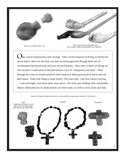

 *Pipes exported from England and a Pipes exported from England and a*<br>*Pipe tamper made from beautiful cave material Pipe tamper made from beautiful cave material* 

nto convict possessions and carvings. After several seasons of diving on Dockyard all we had to show for our time was that we had progressed through three feet of accumulated Dockyard trash and now hit hard bottom. After three winters of diving we now located a weak point in the hard bottom crust of "compacted coal dust". Once through the crust we found ourselves knee deep in a dense graveyard of horse and salt beef bones. Flesh still clung to some bones, 150 years later. Our first convict carving ... a ten inch high, coral stone deck chess piece. We were soon finding other remarkable objects fabricated out of multicolored cave lime stone, as well as coral, bone and slate.

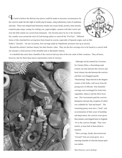It's hard to believe the delicate tiny pieces could be made in atrocious circumstances by the convicts under the dim light of smelly pig fat lamps, using rudimentary tools of sandstone and slate. These men shaped hard limestone chunks into rosary beads, jewelry, bone utensils, exquisite pipe tamps, stamps for sealing wax, paperweights, cannons with their trucks and even the little wheels are carved from limestone. Our favorite piece by far is the clenched fist, usually worn around the neck of God-fearing sailors to ward off the "Evil Eye". Different

forms of this clenched-fist carving have been found on wrecks, especially of Spanish origin, such as Mel Fisher's "Atochia". On rare occasions, first carvings made by Napoleonic prisoners turn up at auction.

 Beyond the artifacts' intrinsic beauty lies their historic value. They are the first carvings ever to be found at a convict hulk site and give a fresh picture of this dreadful time in Bermuda's history.

 It is doubtful that more than a handful of the convicts had any idea of the true value of their creations. They all knew, however, that for them these pieces represented a kind of currency.



 Although strictly banned by Governor, Sir Charles Elliot, a flourishing trade existed, not only between the convicts and local citizens, but also between the convicts and their own thuggish guards.

"Huckstering" shops thrived in the dingiest corners of the hulks, well away from the prying eyes of officials. Tiny beautiful carvings were exchanged for fresh fruit, vegetables, tobacco and the illicit local rum. The Government paid the convicts threepence each per day, twopence of which was withheld for "bed and board". The remaining penny went into a "fund", and on termination of their years of hardship and deprivation, the convicts were given their pittance and shipped back to England. Or so the convicts thought. They were misfits, at least half of them blind or maimed.

 Their carvings, finally discovered and "rescued" from an ocean grave, are a stunning reminder of what the human spirit can endure.

*Miscellaneous convict findings*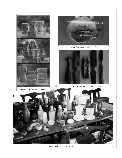

*Convict carved Bermuda Limestone*



*Convict hypodermic needle for syphilis*



*Hand carved convict hair and tooth brushes*



*Various bottles and convict material* 11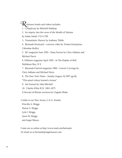**R** eference books and videos includes:

- 1. Complexity by Mitchell Waldrop
- 2. An inquiry into the caves of the Wealth of Nations
- by Adam Smith 1723-1790
- 3. Transatlantic Slavery by Anthony Tibble
- 4. Bermuda Dockyard + convicts video by Trinton Enterprises

( Brendan Hollis)

 5. RG magazine June 1995 - Deep Secrets by Chris Addams and Michael Davis

6. Offshore magazine April 1995 - In The Depths of Hell

Wallabout Bay, N.Y.

 7. Bermuda Festival magazine 1990 - Convict Carvings by Chris Addams and Michael Davis

8. The New York Times - Sunday August 10,1997 pg 6E,

"This penal colony learned a lesson"

- 9. Jail Journal by John Mitchell
- 10. Charles Elliot R.N. 1801-1875
- A Servant of Britain overseas by Clagette Blake

Credits to our New Jersey, U.S.A. friends:

 Priscilla A. Briggs Wayne S. Briggs Lyle C Briggs Jason W. Briggs

and Angie Mason

Come see us online at http://www.inad.com/bermuda Or email us at bermuda@angiemason.com